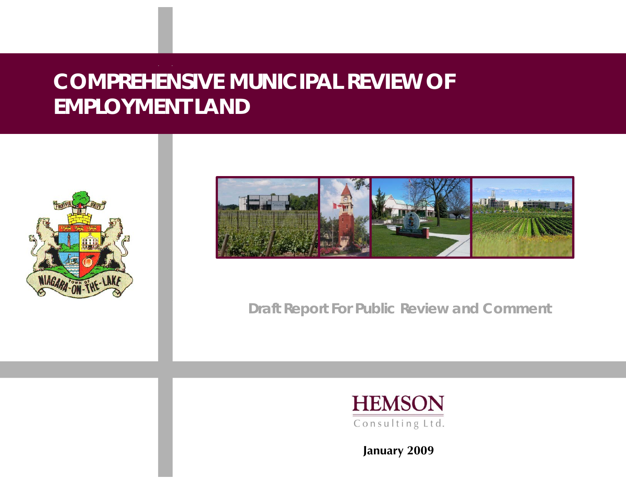# **COMPREHENSIVE MUNICIPAL REVIEW OF EMPLOYMENT LAND**





*Draft Report For Public Review and Comment*



**January 2009**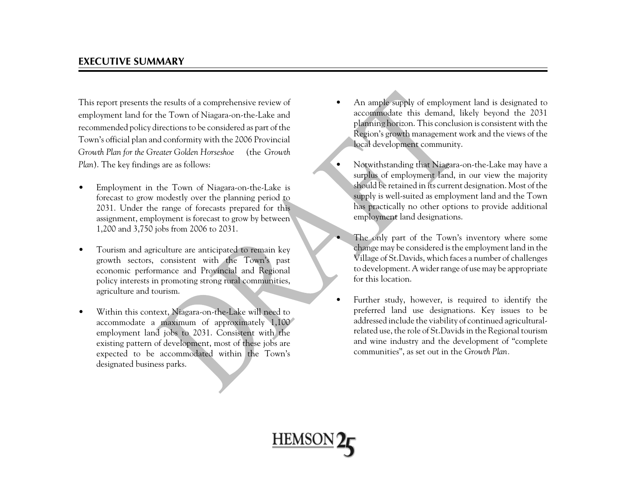### **EXECUTIVE SUMMARY**

This report presents the results of a comprehensive review of employment land for the Town of Niagara-on-the-Lake and recommended policy directions to be considered as part of the Town's official plan and conformity with the 2006 Provincial *Growth Plan for the Greater Golden Horseshoe* (the *Growth Plan*). The key findings are as follows:

- • Employment in the Town of Niagara-on-the-Lake is forecast to grow modestly over the planning period to 2031. Under the range of forecasts prepared for this assignment, employment is forecast to grow by between 1,200 and 3,750 jobs from 2006 to 2031.
- • Tourism and agriculture are anticipated to remain key growth sectors, consistent with the Town's past economic performance and Provincial and Regional policy interests in promoting strong rural communities, agriculture and tourism.
- • Within this context, Niagara-on-the-Lake will need to accommodate a maximum of approximately 1,100 employment land jobs to 2031. Consistent with the existing pattern of development, most of these jobs are expected to be accommodated within the Town's designated business parks.
- • An ample supply of employment land is designated to accommodate this demand, likely beyond the 2031 <sup>p</sup>lanning horizon. This conclusion is consistent with the Region's growth management work and the views of the local development community.
- • Notwithstanding that Niagara-on-the-Lake may have a surplus of employment land, in our view the majority should be retained in its current designation. Most of the supply is well-suited as employment land and the Town has practically no other options to provide additional employment land designations.
- • The only part of the Town's inventory where some change may be considered is the employment land in the Village of St.Davids, which faces a number of challenges to development. A wider range of use may be appropriate for this location.
- • Further study, however, is required to identify the preferred land use designations. Key issues to be addressed include the viability of continued agriculturalrelated use, the role of St.Davids in the Regional tourism and wine industry and the development of "complete communities", as set out in the *Growth Plan.*

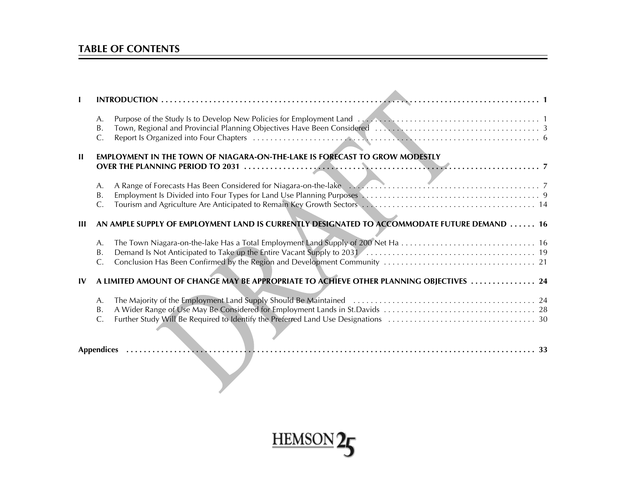### **TABLE OF CONTENTS**

|               | А.<br>B.<br>C.             |                                                                                             |
|---------------|----------------------------|---------------------------------------------------------------------------------------------|
| H             |                            | EMPLOYMENT IN THE TOWN OF NIAGARA-ON-THE-LAKE IS FORECAST TO GROW MODESTLY                  |
|               | А.<br>Β.<br>C.             | A Range of Forecasts Has Been Considered for Niagara-on-the-lake<br>2                       |
| Ш             |                            | AN AMPLE SUPPLY OF EMPLOYMENT LAND IS CURRENTLY DESIGNATED TO ACCOMMODATE FUTURE DEMAND  16 |
|               | A.<br>Β.<br>C.             |                                                                                             |
| $\mathbf{IV}$ |                            | A LIMITED AMOUNT OF CHANGE MAY BE APPROPRIATE TO ACHIEVE OTHER PLANNING OBJECTIVES  24      |
|               | A.<br>Β.<br>$\mathsf{C}$ . |                                                                                             |
|               |                            |                                                                                             |

 $\Delta$ 

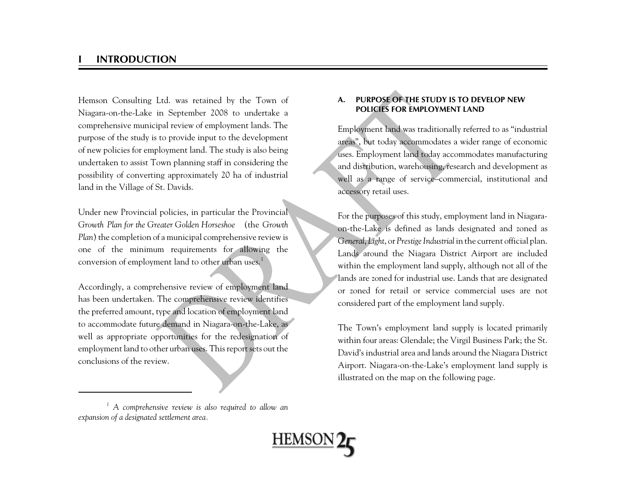### **I INTRODUCTION**

Hemson Consulting Ltd. was retained by the Town of Niagara-on-the-Lake in September 2008 to undertake a comprehensive municipal review of employment lands. The purpose of the study is to provide input to the development of new policies for employment land. The study is also being undertaken to assist Town planning staff in considering the possibility of converting approximately 20 ha of industrial land in the Village of St. Davids.

Under new Provincial policies, in particular the Provincial *Growth Plan for the Greater Golden Horseshoe* (the *Growth Plan*) the completion of a municipal comprehensive review is one of the minimum requirements for allowing the conversion of employment land to other urban uses.<sup>1</sup>

Accordingly, a comprehensive review of employment land has been undertaken. The comprehensive review identifies the preferred amount, type and location of employment land to accommodate future demand in Niagara-on-the-Lake, as well as appropriate opportunities for the redesignation of employment land to other urban uses. This report sets out the conclusions of the review.

### **A. PURPOSE OF THE STUDY IS TO DEVELOP NEWPOLICIES FOR EMPLOYMENT LAND**

Employment land was traditionally referred to as "industrial areas", but today accommodates a wider range of economic uses. Employment land today accommodates manufacturing and distribution, warehousing, research and development as well as a range of service–commercial, institutional and accessory retail uses.

For the purposes of this study, employment land in Niagaraon-the-Lake is defined as lands designated and zoned as *General*, *Light*, or *Prestige Industrial* in the current official plan. Lands around the Niagara District Airport are included within the employment land supply, although not all of the lands are zoned for industrial use. Lands that are designated or zoned for retail or service commercial uses are notconsidered part of the employment land supply.

The Town's employment land supply is located primarily within four areas: Glendale; the Virgil Business Park; the St. David's industrial area and lands around the Niagara District Airport. Niagara-on-the-Lake's employment land supply is illustrated on the map on the following page.

*<sup>1</sup> A comprehensive review is also required to allow an expansion of a designated settlement area.*

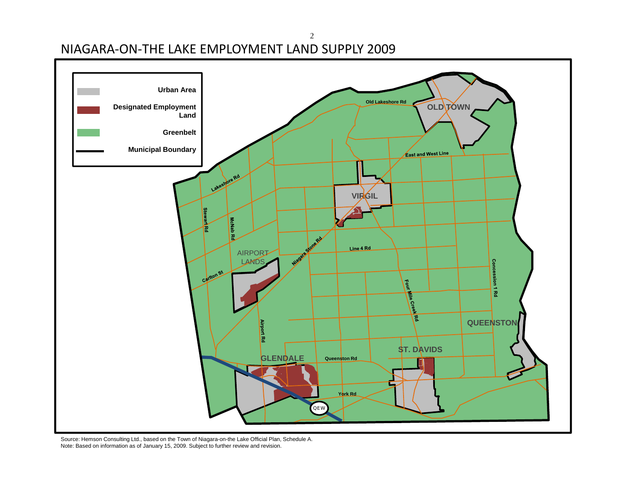NIAGARA‐ON‐THE LAKE EMPLOYMENT LAND SUPPLY 2009



2

Source: Hemson Consulting Ltd., based on the Town of Niagara-on-the Lake Official Plan, Schedule A. Note: Based on information as of January 15, 2009. Subject to further review and revision.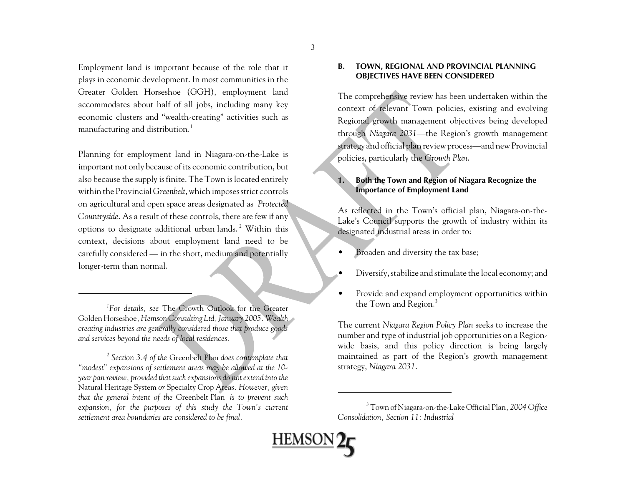Employment land is important because of the role that it <sup>p</sup>lays in economic development. In most communities in the Greater Golden Horseshoe (GGH), employment land accommodates about half of all jobs, including many key economic clusters and "wealth-creating" activities such as manufacturing and distribution.<sup>1</sup>

Planning for employment land in Niagara-on-the-Lake is important not only because of its economic contribution, but also because the supply is finite. The Town is located entirely within the Provincial *Greenbelt*, which imposes strict controls on agricultural and open space areas designated as *Protected Countryside*. As a result of these controls, there are few if any options to designate additional urban lands. 2 Within this context, decisions about employment land need to be carefully considered — in the short, medium and potentially longer-term than normal.

*1For details, see* The Growth Outlook for the Greater Golden Horseshoe*, Hemson Consulting Ltd, January 2005. Wealth creating industries are generally considered those that produce goods and services beyond the needs of local residences.* 

*2 Section 3.4 of the* Greenbelt Plan *does contemplate that "modest" expansions of settlement areas may be allowed at the 10 year pan review, provided that such expansions do not extend into the* Natural Heritage System *or* Specialty Crop Areas*. However, given that the general intent of the* Greenbelt Plan *is to prevent such expansion, for the purposes of this study the Town's current settlement area boundaries are considered to be final.* 

#### **B. TOWN, REGIONAL AND PROVINCIAL PLANNING OBJECTIVES HAVE BEEN CONSIDERED**

The comprehensive review has been undertaken within the context of relevant Town policies, existing and evolving Regional growth management objectives being developed through *Niagara 2031—*the Region's growth management strategy and official plan review process—and new Provincial policies, particularly the *Growth Plan*.

### **1. Both the Town and Region of Niagara Recognize the Importance of Employment Land**

As reflected in the Town's official plan, Niagara-on-the-Lake's Council supports the growth of industry within its designated industrial areas in order to:

- •Broaden and diversity the tax base;
- •Diversify, stabilize and stimulate the local economy; and
- • Provide and expand employment opportunities within the Town and Region.<sup>3</sup>

The current *Niagara Region Policy Plan* seeks to increase the number and type of industrial job opportunities on a Regionwide basis, and this policy direction is being largely maintained as part of the Region's growth management strategy, *Niagara 2031*.



<u>HEMSON (</u>

*<sup>3</sup>* Town of Niagara-on-the-Lake Official Plan*, 2004 Office Consolidation, Section 11: Industrial*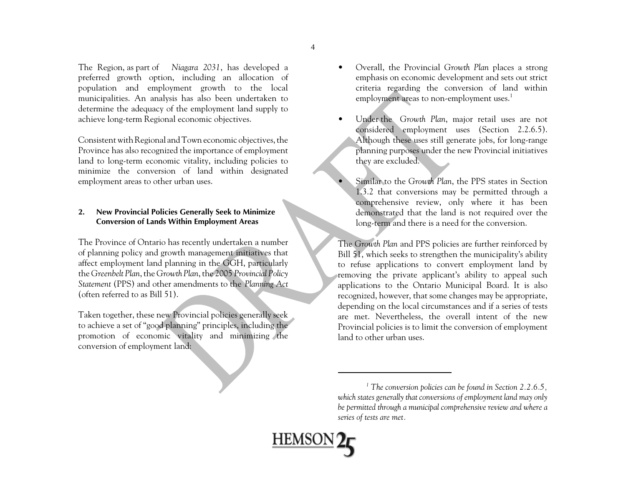The Region, as part of *Niagara 2031*, has developed a preferred growth option, including an allocation of population and employment growth to the local municipalities. An analysis has also been undertaken to determine the adequacy of the employment land supply to achieve long-term Regional economic objectives.

Consistent with Regional and Town economic objectives, the Province has also recognized the importance of employment land to long-term economic vitality, including policies to minimize the conversion of land within designated employment areas to other urban uses.

### **2. New Provincial Policies Generally Seek to Minimize Conversion of Lands Within Employment Areas**

The Province of Ontario has recently undertaken a number of planning policy and growth management initiatives that affect employment land planning in the GGH, particularly the *Greenbelt Plan*, the *Growth Plan*, the 2005 *Provincial Policy Statement* (PPS) and other amendments to the *Planning Act* (often referred to as Bill 51).

Taken together, these new Provincial policies generally seek to achieve a set of "good planning" principles, including the promotion of economic vitality and minimizing the conversion of employment land:

- • Overall, the Provincial *Growth Plan* places a strong emphasis on economic development and sets out strict criteria regarding the conversion of land within employment areas to non-employment uses.<sup>1</sup>
- • Under the *Growth Plan*, major retail uses are not considered employment uses (Section 2.2.6.5). Although these uses still generate jobs, for long-range <sup>p</sup>lanning purposes under the new Provincial initiatives they are excluded.
	- Similar to the *Growth Plan*, the PPS states in Section 1.3.2 that conversions may be permitted through a comprehensive review, only where it has been demonstrated that the land is not required over the long-term and there is a need for the conversion.

The *Growth Plan* and PPS policies are further reinforced by Bill 51, which seeks to strengthen the municipality's ability to refuse applications to convert employment land by removing the private applicant's ability to appeal such applications to the Ontario Municipal Board. It is also recognized, however, that some changes may be appropriate, depending on the local circumstances and if a series of tests are met. Nevertheless, the overall intent of the new Provincial policies is to limit the conversion of employment land to other urban uses.

*<sup>1</sup> The conversion policies can be found in Section 2.2.6.5, which states generally that conversions of employment land may only be permitted through a municipal comprehensive review and where a series of tests are met.*

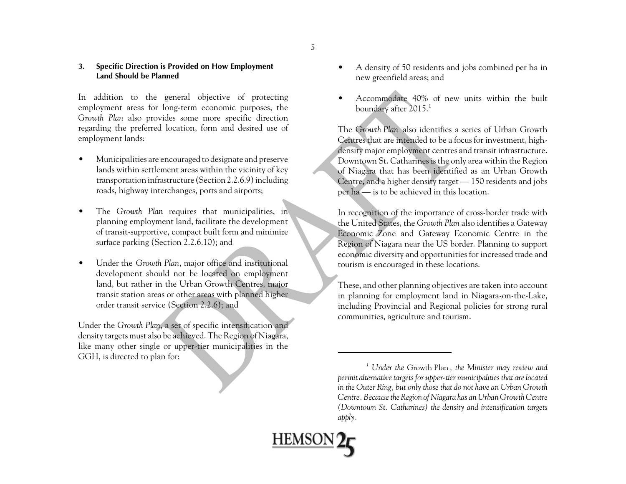### **3. Specific Direction is Provided on How Employment Land Should be Planned**

In addition to the general objective of protecting employment areas for long-term economic purposes, the *Growth Plan* also provides some more specific direction regarding the preferred location, form and desired use of employment lands:

- • Municipalities are encouraged to designate and preserve lands within settlement areas within the vicinity of key transportation infrastructure (Section 2.2.6.9) including roads, highway interchanges, ports and airports;
- • The *Growth Plan* requires that municipalities, in <sup>p</sup>lanning employment land, facilitate the development of transit-supportive, compact built form and minimize surface parking (Section 2.2.6.10); and
- • Under the *Growth Plan*, major office and institutional development should not be located on employment land, but rather in the Urban Growth Centres, major transit station areas or other areas with planned higher order transit service (Section 2.2.6); and

Under the *Growth Plan*, a set of specific intensification and density targets must also be achieved. The Region of Niagara, like many other single or upper-tier municipalities in the GGH, is directed to plan for:

- • A density of 50 residents and jobs combined per ha in new greenfield areas; and
- • Accommodate 40% of new units within the built boundary after 2015.<sup>1</sup>

The *Growth Plan* also identifies a series of Urban GrowthCentres that are intended to be a focus for investment, highdensity major employment centres and transit infrastructure. Downtown St. Catharines is the only area within the Region of Niagara that has been identified as an Urban Growth Centre, and a higher density target — 150 residents and jobs per ha — is to be achieved in this location.

In recognition of the importance of cross-border trade with the United States, the *Growth Plan* also identifies a Gateway Economic Zone and Gateway Economic Centre in the Region of Niagara near the US border. Planning to support economic diversity and opportunities for increased trade and tourism is encouraged in these locations.

These, and other planning objectives are taken into account in planning for employment land in Niagara-on-the-Lake, including Provincial and Regional policies for strong rural communities, agriculture and tourism.



*<sup>1</sup> Under the* Growth Plan*, the Minister may review and permit alternative targets for upper-tier municipalities that are located in the Outer Ring, but only those that do not have an Urban Growth Centre. Because the Region of Niagara has an Urban Growth Centre (Downtown St. Catharines) the density and intensification targets apply.*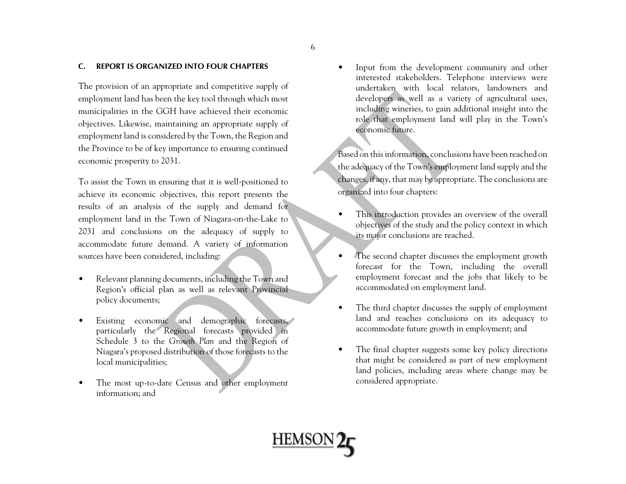#### **C. REPORT IS ORGANIZED INTO FOUR CHAPTERS**

The provision of an appropriate and competitive supply of employment land has been the key tool through which most municipalities in the GGH have achieved their economic objectives. Likewise, maintaining an appropriate supply of employment land is considered by the Town, the Region and the Province to be of key importance to ensuring continued economic prosperity to 2031.

To assist the Town in ensuring that it is well-positioned to achieve its economic objectives, this report presents the results of an analysis of the supply and demand for employment land in the Town of Niagara-on-the-Lake to 2031 and conclusions on the adequacy of supply to accommodate future demand. A variety of information sources have been considered, including:

- • Relevant planning documents, including the Town and Region's official plan as well as relevant Provincial policy documents;
- •Existing economic and demographic forecasts, particularly the Regional forecasts provided in Schedule 3 to the *Growth Plan* and the Region of Niagara's proposed distribution of those forecasts to the local municipalities;
- • The most up-to-date Census and other employment information; and

• Input from the development community and other interested stakeholders. Telephone interviews were undertaken with local relators, landowners and developers as well as a variety of agricultural uses, including wineries, to gain additional insight into the role that employment land will play in the Town's economic future.

Based on this information, conclusions have been reached on the adequacy of the Town's employment land supply and the changes, if any, that may be appropriate. The conclusions are organized into four chapters:

- • This introduction provides an overview of the overall objectives of the study and the policy context in which its major conclusions are reached.
- • The second chapter discusses the employment growth forecast for the Town, including the overall employment forecast and the jobs that likely to be accommodated on employment land.
- • The third chapter discusses the supply of employment land and reaches conclusions on its adequacy to accommodate future growth in employment; and
- • The final chapter suggests some key policy directions that might be considered as part of new employment land policies, including areas where change may be considered appropriate.

**HEMSON**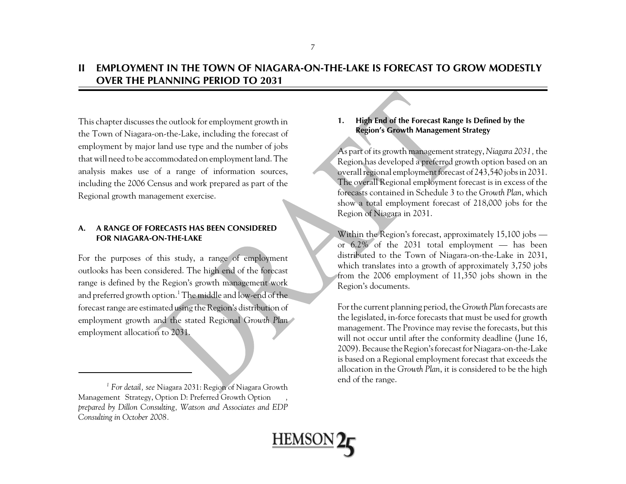### **II EMPLOYMENT IN THE TOWN OF NIAGARA-ON-THE-LAKE IS FORECAST TO GROW MODESTLYOVER THE PLANNING PERIOD TO 2031**

This chapter discusses the outlook for employment growth in the Town of Niagara-on-the-Lake, including the forecast of employment by major land use type and the number of jobs that will need to be accommodated on employment land. The analysis makes use of a range of information sources, including the 2006 Census and work prepared as part of the Regional growth management exercise.

### **A. A RANGE OF FORECASTS HAS BEEN CONSIDEREDFOR NIAGARA-ON-THE-LAKE**

For the purposes of this study, a range of employment outlooks has been considered. The high end of the forecast range is defined by the Region's growth management work and preferred growth option.<sup>1</sup> The middle and low-end of the forecast range are estimated using the Region's distribution of employment growth and the stated Regional *Growth Plan* employment allocation to 2031.

### **1. High End of the Forecast Range Is Defined by the Region's Growth Management Strategy**

As part of its growth management strategy, *Niagara 2031,* the Region has developed a preferred growth option based on an overall regional employment forecast of 243,540 jobs in 2031. The overall Regional employment forecast is in excess of the forecasts contained in Schedule 3 to the *Growth Plan*, which show a total employment forecast of 218,000 jobs for the Region of Niagara in 2031.

Within the Region's forecast, approximately 15,100 jobs or 6.2% of the 2031 total employment — has been distributed to the Town of Niagara-on-the-Lake in 2031, which translates into a growth of approximately 3,750 jobs from the 2006 employment of 11,350 jobs shown in the Region's documents.

For the current planning period, the *Growth Plan* forecasts are the legislated, in-force forecasts that must be used for growth management. The Province may revise the forecasts, but this will not occur until after the conformity deadline (June 16, 2009). Because the Region's forecast for Niagara-on-the-Lake is based on a Regional employment forecast that exceeds the allocation in the *Growth Plan*, it is considered to be the high



end of the range. *1 For detail, see* Niagara 2031: Region of Niagara Growth Management Strategy, Option D: Preferred Growth Option *, prepared by Dillon Consulting, Watson and Associates and EDP Consulting in October 2008.*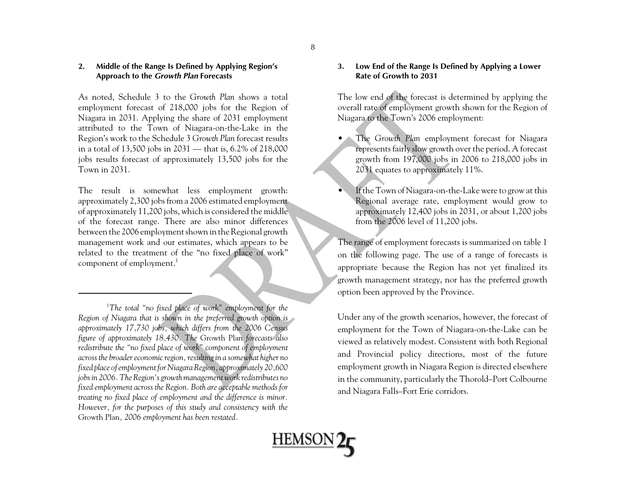### **2. Middle of the Range Is Defined by Applying Region's Approach to the** *Growth Plan* **Forecasts**

As noted, Schedule 3 to the *Growth Plan* shows a total employment forecast of 218,000 jobs for the Region of Niagara in 2031. Applying the share of 2031 employment attributed to the Town of Niagara-on-the-Lake in the Region's work to the Schedule 3 *Growth Plan* forecast results in a total of 13,500 jobs in 2031 — that is, 6.2% of 218,000 jobs results forecast of approximately 13,500 jobs for the Town in 2031.

The result is somewhat less employment growth: approximately 2,300 jobs from a 2006 estimated employment of approximately 11,200 jobs, which is considered the middle of the forecast range. There are also minor differences between the 2006 employment shown in the Regional growth management work and our estimates, which appears to be related to the treatment of the "no fixed place of work" component of employment.<sup>1</sup>

*1The total "no fixed place of work" employment for the Region of Niagara that is shown in the preferred growth option is approximately 17,730 jobs, which differs from the 2006 Census figure of approximately 18,430. The* Growth Plan *forecasts also redistribute the "no fixed place of work" component of employment across the broader economic region, resulting in a somewhat higher no fixed place of employment for Niagara Region, approximately 20,600 jobs in 2006. The Region's growth management work redistributes no fixed employment across the Region. Both are acceptable methods for treating no fixed place of employment and the difference is minor. However, for the purposes of this study and consistency with the* Growth Plan*, 2006 employment has been restated.* 

### **3. Low End of the Range Is Defined by Applying a Lower Rate of Growth to 2031**

The low end of the forecast is determined by applying the overall rate of employment growth shown for the Region of Niagara to the Town's 2006 employment:

- • The *Growth Plan* employment forecast for Niagara represents fairly slow growth over the period. A forecast growth from 197,000 jobs in 2006 to 218,000 jobs in 2031 equates to approximately 11%.
- If the Town of Niagara-on-the-Lake were to grow at this Regional average rate, employment would grow to approximately 12,400 jobs in 2031, or about 1,200 jobs from the 2006 level of 11,200 jobs.

The range of employment forecasts is summarized on table 1 on the following page. The use of a range of forecasts is appropriate because the Region has not yet finalized its growth management strategy, nor has the preferred growth option been approved by the Province.

Under any of the growth scenarios, however, the forecast of employment for the Town of Niagara-on-the-Lake can be viewed as relatively modest. Consistent with both Regional and Provincial policy directions, most of the future employment growth in Niagara Region is directed elsewhere in the community, particularly the Thorold–Port Colbourne and Niagara Falls–Fort Erie corridors.

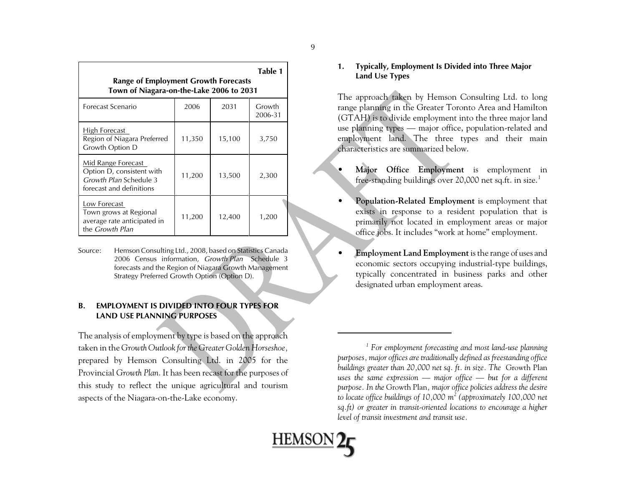| Table 1<br><b>Range of Employment Growth Forecasts</b><br>Town of Niagara-on-the-Lake 2006 to 2031    |        |        |                   |
|-------------------------------------------------------------------------------------------------------|--------|--------|-------------------|
| Forecast Scenario                                                                                     | 2006   | 2031   | Growth<br>2006-31 |
| High Forecast<br>Region of Niagara Preferred<br>Growth Option D                                       | 11,350 | 15,100 | 3,750             |
| Mid Range Forecast<br>Option D, consistent with<br>Growth Plan Schedule 3<br>forecast and definitions | 11,200 | 13,500 | 2,300             |
| Low Forecast<br>Town grows at Regional<br>average rate anticipated in<br>the <i>Growth Plan</i>       | 11,200 | 12,400 | 1,200             |

Source: Hemson Consulting Ltd., 2008, based on Statistics Canada 2006 Census information, *Growth Plan* Schedule 3 forecasts and the Region of Niagara Growth Management Strategy Preferred Growth Option (Option D).

### **B. EMPLOYMENT IS DIVIDED INTO FOUR TYPES FORLAND USE PLANNING PURPOSES**

The analysis of employment by type is based on the approach taken in the *Growth Outlook for the Greater Golden Horseshoe,* prepared by Hemson Consulting Ltd. in 2005 for the Provincial *Growth Plan*. It has been recast for the purposes of this study to reflect the unique agricultural and tourism aspects of the Niagara-on-the-Lake economy.

### **1. Typically, Employment Is Divided into Three Major Land Use Types**

The approach taken by Hemson Consulting Ltd. to long range planning in the Greater Toronto Area and Hamilton (GTAH) is to divide employment into the three major land use planning types — major office, population-related and employment land. The three types and their main characteristics are summarized below.

- **Major Office Employment** is employment in free-standing buildings over 20,000 net sq.ft. in size.<sup>1</sup>
- **Population-Related Employment** is employment that exists in response to a resident population that is primarily not located in employment areas or major office jobs. It includes "work at home" employment.
- • **Employment Land Employment** is the range of uses and economic sectors occupying industrial-type buildings, typically concentrated in business parks and other designated urban employment areas.

*<sup>1</sup> For employment forecasting and most land-use planning purposes, major offices are traditionally defined as freestanding office buildings greater than 20,000 net sq. ft. in size. The* Growth Plan *uses the same expression — major office — but for a different purpose. In the* Growth Plan*, major office policies address the desire to locate office buildings of 10,000 m2 (approximately 100,000 net sq.ft) or greater in transit-oriented locations to encourage a higher level of transit investment and transit use.*



•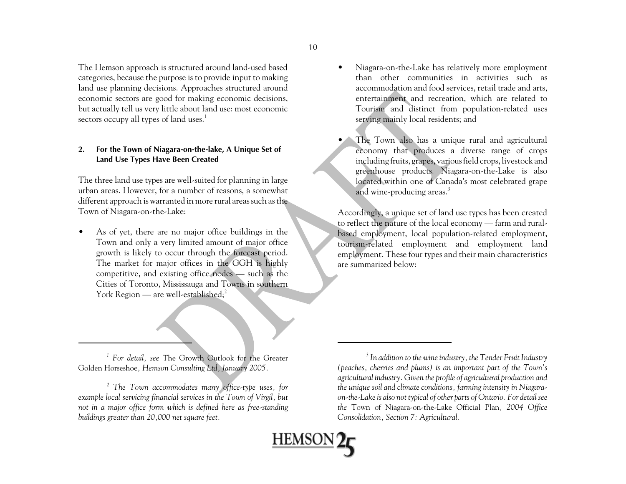The Hemson approach is structured around land-used based categories, because the purpose is to provide input to making land use planning decisions. Approaches structured around economic sectors are good for making economic decisions, but actually tell us very little about land use: most economic sectors occupy all types of land uses.<sup>1</sup>

### **2. For the Town of Niagara-on-the-lake, A Unique Set of Land Use Types Have Been Created**

The three land use types are well-suited for planning in large urban areas. However, for a number of reasons, a somewhat different approach is warranted in more rural areas such as the Town of Niagara-on-the-Lake:

• As of yet, there are no major office buildings in the Town and only a very limited amount of major office growth is likely to occur through the forecast period. The market for major offices in the GGH is highly competitive, and existing office nodes — such as the Cities of Toronto, Mississauga and Towns in southern York Region — are well-established;<sup>2</sup>

- • Niagara-on-the-Lake has relatively more employment than other communities in activities such asaccommodation and food services, retail trade and arts, entertainment and recreation, which are related to Tourism and distinct from population-related uses serving mainly local residents; and
- The Town also has a unique rural and agricultural economy that produces a diverse range of crops including fruits, grapes, various field crops, livestock and greenhouse products. Niagara-on-the-Lake is also located within one of Canada's most celebrated grape and wine-producing areas.<sup>3</sup>

Accordingly, a unique set of land use types has been created to reflect the nature of the local economy — farm and ruralbased employment, local population-related employment, tourism-related employment and employment land employment. These four types and their main characteristics are summarized below:

*1 For detail, see* The Growth Outlook for the Greater Golden Horseshoe*, Hemson Consulting Ltd, January 2005.* 

**HEMSO** 

*<sup>2</sup> The Town accommodates many office-type uses, for example local servicing financial services in the Town of Virgil, but not in a major office form which is defined here as free-standing buildings greater than 20,000 net square feet.* 

*<sup>3</sup> In addition to the wine industry, the Tender Fruit Industry (peaches, cherries and plums) is an important part of the Town's agricultural industry. Given the profile of agricultural production and the unique soil and climate conditions, farming intensity in Niagaraon-the-Lake is also not typical of other parts of Ontario. For detail see the* Town of Niagara-on-the-Lake Official Plan*, 2004 Office Consolidation, Section 7: Agricultural.*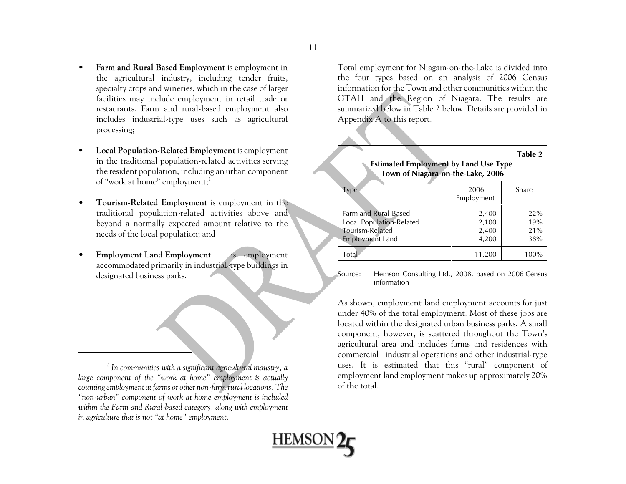- • **Farm and Rural Based Employment** is employment in the agricultural industry, including tender fruits, specialty crops and wineries, which in the case of larger facilities may include employment in retail trade or restaurants. Farm and rural-based employment also includes industrial-type uses such as agricultural processing;
- $\bullet$  **Local Population-Related Employment** is employment in the traditional population-related activities serving the resident population, including an urban component of "work at home" employment;<sup>1</sup>
- $\bullet$  **Tourism-Related Employment** is employment in the traditional population-related activities above and beyond a normally expected amount relative to the needs of the local population; and
- • **Employment Land Employment** is employment accommodated primarily in industrial-type buildings in designated business parks.

*1 In communities with a significant agricultural industry, a large component of the "work at home" employment is actually counting employment at farms or other non-farm rural locations. The "non-urban" component of work at home employment is included within the Farm and Rural-based category, along with employment in agriculture that is not "at home" employment.* 

Total employment for Niagara-on-the-Lake is divided into the four types based on an analysis of 2006 Census information for the Town and other communities within theGTAH and the Region of Niagara. The results are summarized below in Table 2 below. Details are provided in Appendix A to this report.

| Table 2<br><b>Estimated Employment by Land Use Type</b><br>Town of Niagara-on-the-Lake, 2006  |                                  |                          |  |
|-----------------------------------------------------------------------------------------------|----------------------------------|--------------------------|--|
| Type                                                                                          | 2006<br>Employment               | Share                    |  |
| Farm and Rural-Based<br>Local Population-Related<br>Tourism-Related<br><b>Employment Land</b> | 2,400<br>2,100<br>2,400<br>4,200 | 22%<br>19%<br>21%<br>38% |  |
| Total                                                                                         | 11,200                           | 100%                     |  |

Source: Hemson Consulting Ltd., 2008, based on 2006 Census information

As shown, employment land employment accounts for just under 40% of the total employment. Most of these jobs are located within the designated urban business parks. A small component, however, is scattered throughout the Town's agricultural area and includes farms and residences with commercial– industrial operations and other industrial-type uses. It is estimated that this "rural" component of employment land employment makes up approximately 20% of the total.

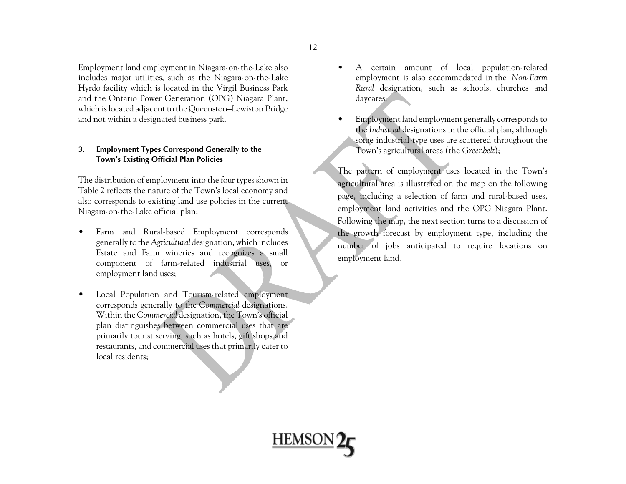Employment land employment in Niagara-on-the-Lake also includes major utilities, such as the Niagara-on-the-Lake Hyrdo facility which is located in the Virgil Business Park and the Ontario Power Generation (OPG) Niagara Plant, which is located adjacent to the Queenston–Lewiston Bridge and not within a designated business park.

### **3. Employment Types Correspond Generally to the Town's Existing Official Plan Policies**

The distribution of employment into the four types shown in Table 2 reflects the nature of the Town's local economy and also corresponds to existing land use policies in the current Niagara-on-the-Lake official plan:

- $\bullet$  Farm and Rural-based Employment corresponds generally to the *Agricultural* designation, which includes Estate and Farm wineries and recognizes a small component of farm-related industrial uses, or employment land uses;
- • Local Population and Tourism-related employment corresponds generally to the *Commercial* designations. Within the *Commercial* designation, the Town's official <sup>p</sup>lan distinguishes between commercial uses that are primarily tourist serving, such as hotels, gift shops and restaurants, and commercial uses that primarily cater to local residents;
- • A certain amount of local population-related employment is also accommodated in the *Non-Farm Rural* designation, such as schools, churches and daycares;
- • Employment land employment generally corresponds to the *Industrial* designations in the official plan, although some industrial-type uses are scattered throughout the Town's agricultural areas (the *Greenbelt*);

The pattern of employment uses located in the Town's agricultural area is illustrated on the map on the following page, including a selection of farm and rural-based uses, employment land activities and the OPG Niagara Plant. Following the map, the next section turns to a discussion of the growth forecast by employment type, including the number of jobs anticipated to require locations on employment land.



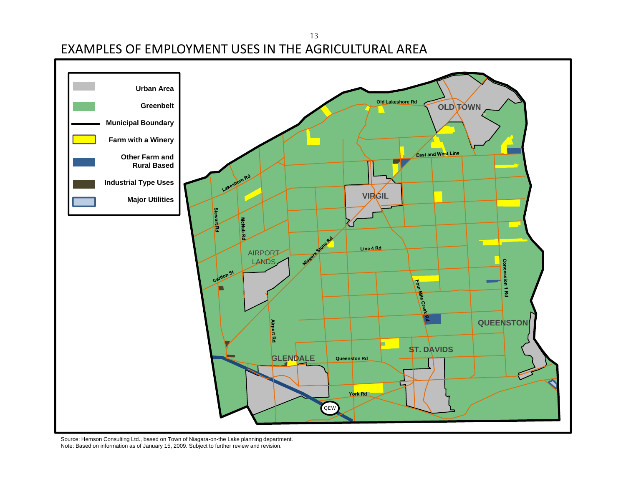EXAMPLES OF EMPLOYMENT USES IN THE AGRICULTURAL AREA 13



Source: Hemson Consulting Ltd., based on Town of Niagara-on-the Lake planning department. Note: Based on information as of January 15, 2009. Subject to further review and revision.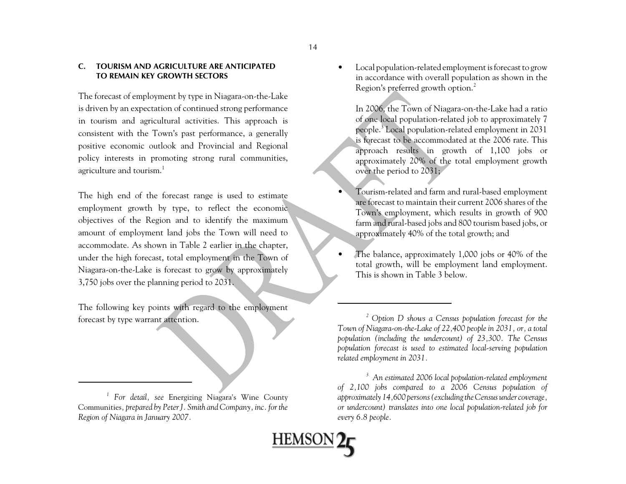#### **C. TOURISM AND AGRICULTURE ARE ANTICIPATEDTO REMAIN KEY GROWTH SECTORS**

The forecast of employment by type in Niagara-on-the-Lake is driven by an expectation of continued strong performance in tourism and agricultural activities. This approach is consistent with the Town's past performance, a generally positive economic outlook and Provincial and Regional policy interests in promoting strong rural communities, agriculture and tourism.<sup>1</sup>

The high end of the forecast range is used to estimate employment growth by type, to reflect the economic objectives of the Region and to identify the maximum amount of employment land jobs the Town will need to accommodate. As shown in Table 2 earlier in the chapter, under the high forecast, total employment in the Town of Niagara-on-the-Lake is forecast to grow by approximately 3,750 jobs over the planning period to 2031.

The following key points with regard to the employment forecast by type warrant attention.

• Local population-related employment is forecast to grow in accordance with overall population as shown in the Region's preferred growth option.<sup>2</sup>

In 2006, the Town of Niagara-on-the-Lake had a ratio of one local population-related job to approximately 7 people.3 Local population-related employment in 2031 is forecast to be accommodated at the 2006 rate. This approach results in growth of 1,100 jobs or approximately 20% of the total employment growth over the period to 2031;

- Tourism-related and farm and rural-based employment are forecast to maintain their current 2006 shares of the Town's employment, which results in growth of 900 farm and rural-based jobs and 800 tourism based jobs, or approximately 40% of the total growth; and
- • The balance, approximately 1,000 jobs or 40% of the total growth, will be employment land employment. This is shown in Table 3 below.

•

<u>HEMSON</u>

*<sup>1</sup> For detail, see* Energizing Niagara's Wine County Communities*, prepared by Peter J. Smith and Company, inc. for the Region of Niagara in January 2007.* 

*<sup>2</sup> Option D shows a Census population forecast for the Town of Niagara-on-the-Lake of 22,400 people in 2031, or, a total population (including the undercount) of 23,300. The Census population forecast is used to estimated local-serving population related employment in 2031.* 

*<sup>3</sup> An estimated 2006 local population-related employment of 2,100 jobs compared to a 2006 Census population of approximately 14,600 persons (excluding the Census under coverage, or undercount) translates into one local population-related job for every 6.8 people.*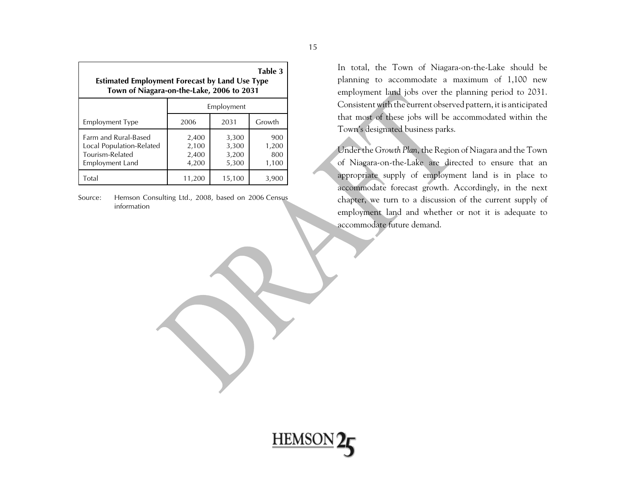| Table 3<br><b>Estimated Employment Forecast by Land Use Type</b><br>Town of Niagara-on-the-Lake, 2006 to 2031 |                                  |                                  |                              |
|---------------------------------------------------------------------------------------------------------------|----------------------------------|----------------------------------|------------------------------|
|                                                                                                               | Employment                       |                                  |                              |
| <b>Employment Type</b>                                                                                        | 2006                             | 2031                             | Growth                       |
| Farm and Rural-Based<br>Local Population-Related<br>Tourism-Related<br>Employment Land                        | 2,400<br>2,100<br>2,400<br>4,200 | 3,300<br>3,300<br>3,200<br>5,300 | 900<br>1,200<br>800<br>1,100 |
| Total                                                                                                         | 11,200                           | 15,100                           | 3,900                        |

Source: Hemson Consulting Ltd., 2008, based on 2006 Census information

In total, the Town of Niagara-on-the-Lake should be <sup>p</sup>lanning to accommodate a maximum of 1,100 new employment land jobs over the planning period to 2031. Consistent with the current observed pattern, it is anticipated that most of these jobs will be accommodated within the Town's designated business parks.

Under the *Growth Plan*, the Region of Niagara and the Town of Niagara-on-the-Lake are directed to ensure that an appropriate supply of employment land is in place to accommodate forecast growth. Accordingly, in the next chapter, we turn to a discussion of the current supply of employment land and whether or not it is adequate to accommodate future demand.

**HEMSON**<sub>2</sub>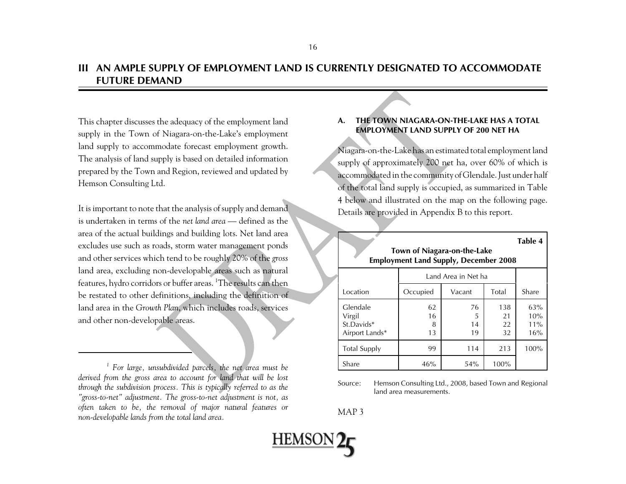### **III AN AMPLE SUPPLY OF EMPLOYMENT LAND IS CURRENTLY DESIGNATED TO ACCOMMODATEFUTURE DEMAND**

This chapter discusses the adequacy of the employment land supply in the Town of Niagara-on-the-Lake's employment land supply to accommodate forecast employment growth. The analysis of land supply is based on detailed information prepared by the Town and Region, reviewed and updated by Hemson Consulting Ltd.

It is important to note that the analysis of supply and demand is undertaken in terms of the *net land area* — defined as thearea of the actual buildings and building lots. Net land area excludes use such as roads, storm water management ponds and other services which tend to be roughly 20% of the *gross* land area, excluding non-developable areas such as natural features, hydro corridors or buffer areas. <sup>1</sup>The results can then be restated to other definitions, including the definition of land area in the *Growth Plan*, which includes roads, services and other non-developable areas.

*1 For large, unsubdivided parcels, the net area must be derived from the gross area to account for land that will be lost through the subdivision process. This is typically referred to as the "gross-to-net" adjustment. The gross-to-net adjustment is not, as often taken to be, the removal of major natural features or non-developable lands from the total land area.* 

### **A. THE TOWN NIAGARA-ON-THE-LAKE HAS A TOTALEMPLOYMENT LAND SUPPLY OF 200 NET HA**

Niagara-on-the-Lake has an estimated total employment land supply of approximately 200 net ha, over 60% of which is accommodated in the community of Glendale. Just under half of the total land supply is occupied, as summarized in Table 4 below and illustrated on the map on the following page. Details are provided in Appendix B to this report.

| Town of Niagara-on-the-Lake<br><b>Employment Land Supply, December 2008</b> |                     |                     |                       | Table 4                  |  |
|-----------------------------------------------------------------------------|---------------------|---------------------|-----------------------|--------------------------|--|
|                                                                             |                     | Land Area in Net ha |                       |                          |  |
| Location                                                                    | Occupied            | Vacant              | Total                 | Share                    |  |
| Glendale<br>Virgil<br>St.Davids*<br>Airport Lands*                          | 62<br>16<br>8<br>13 | 76<br>5<br>14<br>19 | 138<br>21<br>22<br>32 | 63%<br>10%<br>11%<br>16% |  |
| <b>Total Supply</b>                                                         | 99                  | 114                 | 213                   | 100%                     |  |
| Share                                                                       | 46%                 | 54%                 | 100%                  |                          |  |

Source: Hemson Consulting Ltd., 2008, based Town and Regional land area measurements.

MAP 3

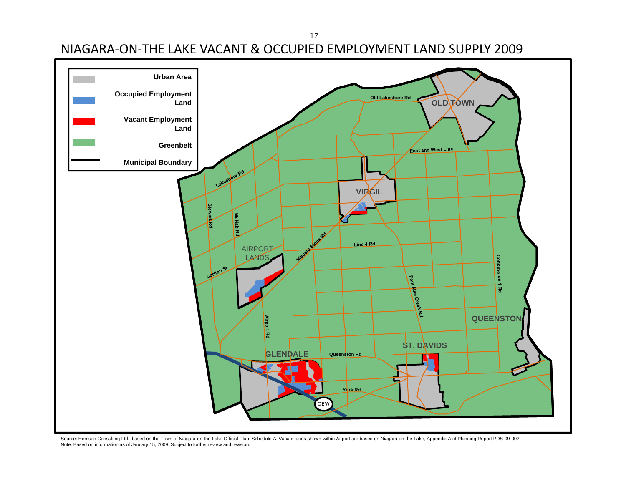17

NIAGARA‐ON‐THE LAKE VACANT & OCCUPIED EMPLOYMENT LAND SUPPLY 2009



Source: Hemson Consulting Ltd., based on the Town of Niagara-on-the Lake Official Plan, Schedule A. Vacant lands shown within Airport are based on Niagara-on-the Lake, Appendix A of Planning Report PDS-09-002. Note: Based on information as of January 15, 2009. Subject to further review and revision.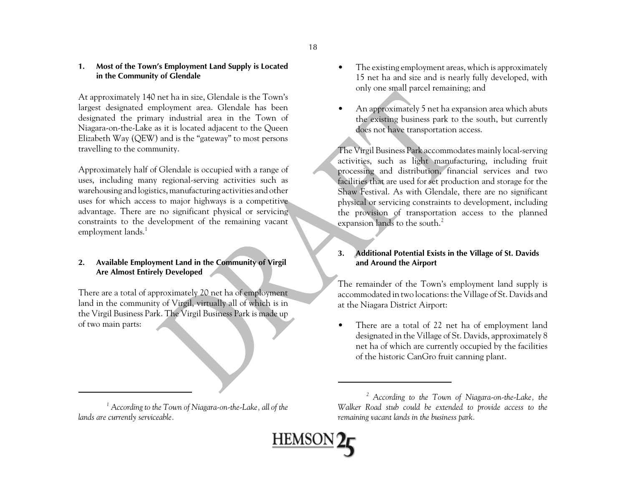### **1. Most of the Town's Employment Land Supply is Located in the Community of Glendale**

At approximately 140 net ha in size, Glendale is the Town's largest designated employment area. Glendale has been designated the primary industrial area in the Town of Niagara-on-the-Lake as it is located adjacent to the Queen Elizabeth Way (QEW) and is the "gateway" to most persons travelling to the community.

Approximately half of Glendale is occupied with a range of uses, including many regional-serving activities such as warehousing and logistics, manufacturing activities and other uses for which access to major highways is a competitive advantage. There are no significant physical or servicing constraints to the development of the remaining vacant employment lands.<sup>1</sup>

### **2. Available Employment Land in the Community of Virgil Are Almost Entirely Developed**

There are a total of approximately 20 net ha of employment land in the community of Virgil, virtually all of which is in the Virgil Business Park. The Virgil Business Park is made up of two main parts:

- • The existing employment areas, which is approximately 15 net ha and size and is nearly fully developed, with only one small parcel remaining; and
- • An approximately 5 net ha expansion area which abuts the existing business park to the south, but currently does not have transportation access.

The Virgil Business Park accommodates mainly local-serving activities, such as light manufacturing, including fruit processing and distribution, financial services and two facilities that are used for set production and storage for the Shaw Festival. As with Glendale, there are no significant <sup>p</sup>hysical or servicing constraints to development, including the provision of transportation access to the planned expansion lands to the south.<sup>2</sup>

### **3. Additional Potential Exists in the Village of St. Davids and Around the Airport**

The remainder of the Town's employment land supply is accommodated in two locations: the Village of St. Davids and at the Niagara District Airport:

• There are a total of 22 net ha of employment land designated in the Village of St. Davids, approximately 8 net ha of which are currently occupied by the facilities of the historic CanGro fruit canning plant.

*<sup>2</sup> According to the Town of Niagara-on-the-Lake, the Walker Road stub could be extended to provide access to the remaining vacant lands in the business park.*



*<sup>1</sup> According to the Town of Niagara-on-the-Lake, all of the lands are currently serviceable.*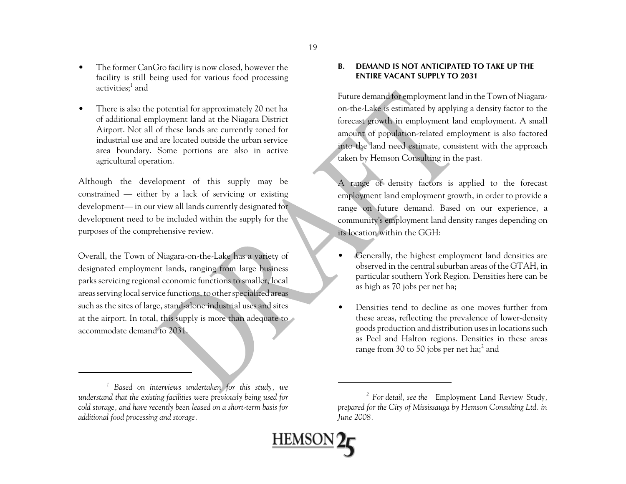- • The former CanGro facility is now closed, however the facility is still being used for various food processing activities;<sup>1</sup> and
- • There is also the potential for approximately 20 net ha of additional employment land at the Niagara District Airport. Not all of these lands are currently zoned for industrial use and are located outside the urban servicearea boundary. Some portions are also in active agricultural operation.

Although the development of this supply may be constrained — either by a lack of servicing or existing development— in our view all lands currently designated for development need to be included within the supply for the purposes of the comprehensive review.

Overall, the Town of Niagara-on-the-Lake has a variety of designated employment lands, ranging from large business parks servicing regional economic functions to smaller, local areas serving local service functions, to other specialized areas such as the sites of large, stand-alone industrial uses and sites at the airport. In total, this supply is more than adequate to accommodate demand to 2031.

*1 Based on interviews undertaken for this study, we understand that the existing facilities were previously being used for cold storage, and have recently been leased on a short-term basis for additional food processing and storage.* 

### **B. DEMAND IS NOT ANTICIPATED TO TAKE UP THEENTIRE VACANT SUPPLY TO 2031**

Future demand for employment land in the Town of Niagaraon-the-Lake is estimated by applying a density factor to the forecast growth in employment land employment. A small amount of population-related employment is also factored into the land need estimate, consistent with the approach taken by Hemson Consulting in the past.

A range of density factors is applied to the forecast employment land employment growth, in order to provide a range on future demand. Based on our experience, a community's employment land density ranges depending on its location within the GGH:

- • Generally, the highest employment land densities are observed in the central suburban areas of the GTAH, in particular southern York Region. Densities here can be as high as 70 jobs per net ha;
- • Densities tend to decline as one moves further fromthese areas, reflecting the prevalence of lower-density goods production and distribution uses in locations such as Peel and Halton regions. Densities in these areas range from 30 to 50 jobs per net ha;<sup>2</sup> and

**HEMSON** 

*<sup>2</sup> For detail, see the* Employment Land Review Study*, prepared for the City of Mississauga by Hemson Consulting Ltd. in June 2008.*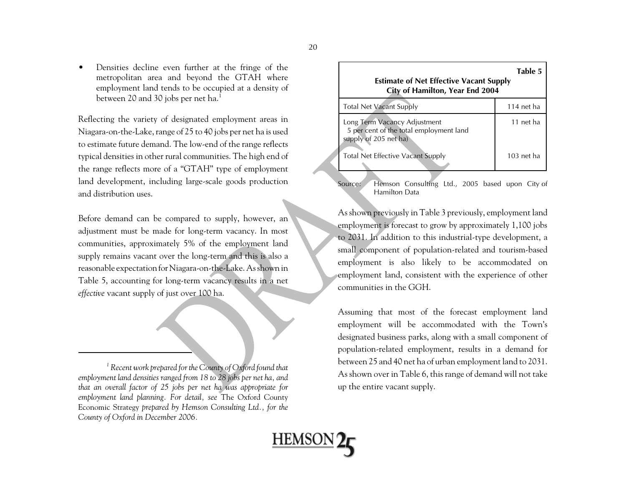• Densities decline even further at the fringe of the metropolitan area and beyond the GTAH where employment land tends to be occupied at a density of between 20 and 30 jobs per net ha.<sup>1</sup>

Reflecting the variety of designated employment areas in Niagara-on-the-Lake, range of 25 to 40 jobs per net ha is used to estimate future demand. The low-end of the range reflects typical densities in other rural communities. The high end of the range reflects more of a "GTAH" type of employment land development, including large-scale goods production and distribution uses.

Before demand can be compared to supply, however, an adjustment must be made for long-term vacancy. In most communities, approximately 5% of the employment land supply remains vacant over the long-term and this is also a reasonable expectation for Niagara-on-the-Lake. As shown in Table 5, accounting for long-term vacancy results in a net *effective* vacant supply of just over 100 ha.

*1 Recent work prepared for the County of Oxford found that employment land densities ranged from 18 to 28 jobs per net ha, and that an overall factor of 25 jobs per net ha was appropriate for employment land planning. For detail, see* The Oxford County Economic Strategy *prepared by Hemson Consulting Ltd., for the County of Oxford in December 2006.*

| <b>Estimate of Net Effective Vacant Supply</b><br>City of Hamilton, Year End 2004                | Table 5      |
|--------------------------------------------------------------------------------------------------|--------------|
| <b>Total Net Vacant Supply</b>                                                                   | $114$ net ha |
| Long Term Vacancy Adjustment<br>5 per cent of the total employment land<br>supply of 205 net ha) | 11 net ha    |
| Total Net Effective Vacant Supply                                                                | $103$ net ha |

Source: Hemson Consulting Ltd., 2005 based upon City of Hamilton Data

As shown previously in Table 3 previously, employment land employment is forecast to grow by approximately 1,100 jobs to 2031. In addition to this industrial-type development, a small component of population-related and tourism-based employment is also likely to be accommodated on employment land, consistent with the experience of other communities in the GGH.

Assuming that most of the forecast employment land employment will be accommodated with the Town's designated business parks, along with a small component of population-related employment, results in a demand for between 25 and 40 net ha of urban employment land to 2031. As shown over in Table 6, this range of demand will not take up the entire vacant supply.

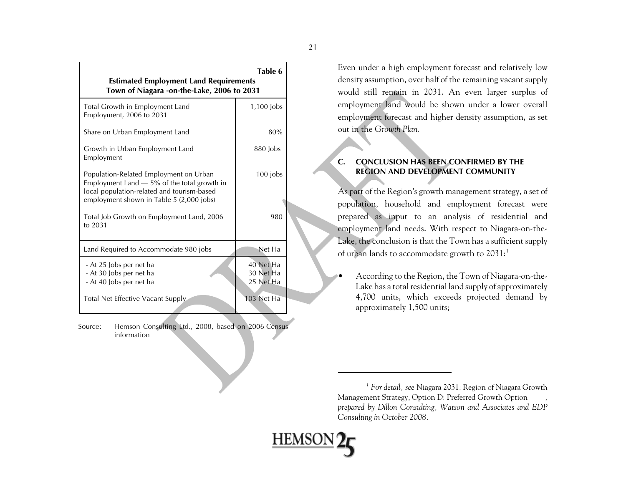| <b>Estimated Employment Land Requirements</b><br>Town of Niagara -on-the-Lake, 2006 to 2031                                                                                       | Table 6                             |  |
|-----------------------------------------------------------------------------------------------------------------------------------------------------------------------------------|-------------------------------------|--|
| Total Growth in Employment Land<br>Employment, 2006 to 2031                                                                                                                       | $1,100$ $\mu$                       |  |
| Share on Urban Employment Land                                                                                                                                                    | 80%                                 |  |
| Growth in Urban Employment Land<br>Employment                                                                                                                                     | 880 lobs                            |  |
| Population-Related Employment on Urban<br>Employment Land $-5\%$ of the total growth in<br>local population-related and tourism-based<br>employment shown in Table 5 (2,000 jobs) | $100$ jobs                          |  |
| Total Job Growth on Employment Land, 2006<br>to 2031                                                                                                                              | 980                                 |  |
| Land Required to Accommodate 980 jobs                                                                                                                                             | Net Ha                              |  |
| - At 25 Jobs per net ha<br>- At 30 Jobs per net ha<br>- At 40 Jobs per net ha                                                                                                     | 40 Net Ha<br>30 Net Ha<br>25 Net Ha |  |
| Total Net Effective Vacant Supply                                                                                                                                                 | $103$ Net Ha                        |  |

Source: Hemson Consulting Ltd., 2008, based on 2006 Census information

Even under a high employment forecast and relatively low density assumption, over half of the remaining vacant supply would still remain in 2031. An even larger surplus of employment land would be shown under a lower overall employment forecast and higher density assumption, as set out in the *Growth Plan*.

### **C. CONCLUSION HAS BEEN CONFIRMED BY THEREGION AND DEVELOPMENT COMMUNITY**

As part of the Region's growth management strategy, a set of population, household and employment forecast were prepared as input to an analysis of residential and employment land needs. With respect to Niagara-on-the-Lake, the conclusion is that the Town has a sufficient supply of urban lands to accommodate growth to  $2031$ :<sup>1</sup>

• According to the Region, the Town of Niagara-on-the-Lake has a total residential land supply of approximately 4,700 units, which exceeds projected demand by approximately 1,500 units;

*<sup>1</sup> For detail, see* Niagara 2031: Region of Niagara Growth Management Strategy, Option D: Preferred Growth Option *, prepared by Dillon Consulting, Watson and Associates and EDP Consulting in October 2008.*

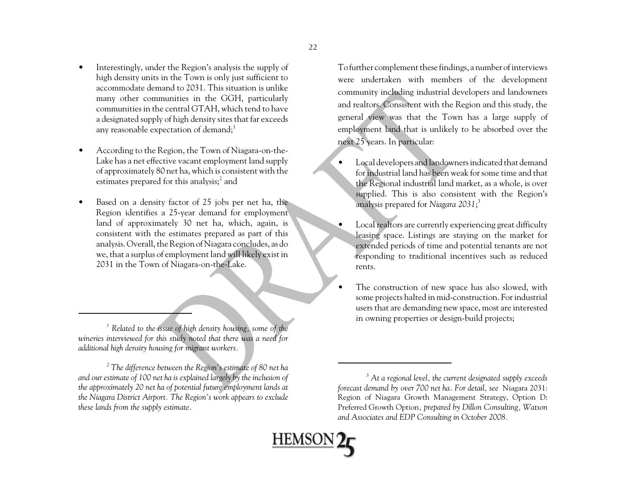- • Interestingly, under the Region's analysis the supply of high density units in the Town is only just sufficient to accommodate demand to 2031. This situation is unlikemany other communities in the GGH, particularly communities in the central GTAH, which tend to have a designated supply of high density sites that far exceeds any reasonable expectation of demand;<sup>1</sup>
- • According to the Region, the Town of Niagara-on-the-Lake has a net effective vacant employment land supply of approximately 80 net ha, which is consistent with the estimates prepared for this analysis; $^2$  and
- • Based on a density factor of 25 jobs per net ha, the Region identifies a 25-year demand for employment land of approximately 30 net ha, which, again, is consistent with the estimates prepared as part of this analysis. Overall, the Region of Niagara concludes, as do we, that a surplus of employment land will likely exist in 2031 in the Town of Niagara-on-the-Lake.

*1 Related to the issue of high density housing, some of the wineries interviewed for this study noted that there was a need for additional high density housing for migrant workers.* 

*2 The difference between the Region's estimate of 80 net ha and our estimate of 100 net ha is explained largely by the inclusion of the approximately 20 net ha of potential future employment lands at the Niagara District Airport. The Region's work appears to exclude these lands from the supply estimate.* 

To further complement these findings, a number of interviews were undertaken with members of the development community including industrial developers and landowners and realtors. Consistent with the Region and this study, the general view was that the Town has a large supply of employment land that is unlikely to be absorbed over the next 25 years. In particular:

- • Local developers and landowners indicated that demand for industrial land has been weak for some time and thatthe Regional industrial land market, as a whole, is over supplied. This is also consistent with the Region's analysis prepared for *Niagara 2031*; 3
- • Local realtors are currently experiencing great difficulty leasing space. Listings are staying on the market for extended periods of time and potential tenants are not responding to traditional incentives such as reduced rents.
- • The construction of new space has also slowed, with some projects halted in mid-construction. For industrial users that are demanding new space, most are interested in owning properties or design-build projects;

**HEMSC** 

*<sup>3</sup> At a regional level, the current designated supply exceeds forecast demand by over 700 net ha. For detail, see* Niagara 2031: Region of Niagara Growth Management Strategy, Option D: Preferred Growth Option*, prepared by Dillon Consulting, Watson and Associates and EDP Consulting in October 2008.*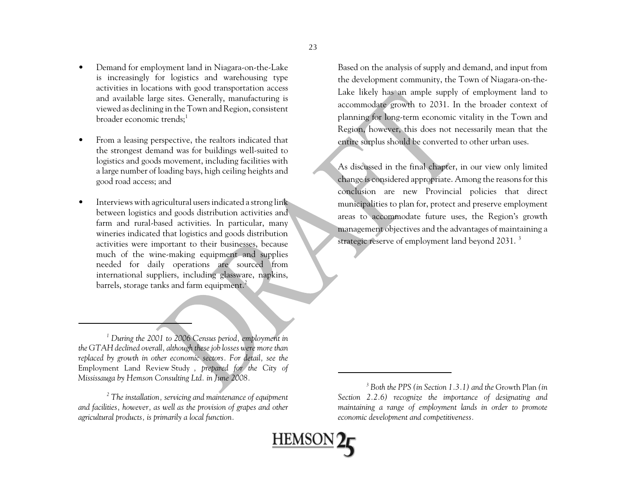- • Demand for employment land in Niagara-on-the-Lake is increasingly for logistics and warehousing type activities in locations with good transportation access and available large sites. Generally, manufacturing is viewed as declining in the Town and Region, consistent broader economic trends:<sup>1</sup>
- • From a leasing perspective, the realtors indicated that the strongest demand was for buildings well-suited to logistics and goods movement, including facilities with a large number of loading bays, high ceiling heights and good road access; and
- • Interviews with agricultural users indicated a strong link between logistics and goods distribution activities and farm and rural-based activities. In particular, many wineries indicated that logistics and goods distribution activities were important to their businesses, because much of the wine-making equipment and supplies needed for daily operations are sourced from international suppliers, including glassware, napkins, barrels, storage tanks and farm equipment.<sup>2</sup>

*1 During the 2001 to 2006 Census period, employment in the GTAH declined overall, although these job losses were more than replaced by growth in other economic sectors. For detail, see the* Employment Land Review Study *, prepared for the City of Mississauga by Hemson Consulting Ltd. in June 2008.*

*2 The installation, servicing and maintenance of equipment and facilities, however, as well as the provision of grapes and other agricultural products, is primarily a local function.*

As discussed in the final chapter, in our view only limited change is considered appropriate. Among the reasons for this conclusion are new Provincial policies that direct municipalities to plan for, protect and preserve employment areas to accommodate future uses, the Region's growth management objectives and the advantages of maintaining a strategic reserve of employment land beyond 2031.<sup>3</sup>

**HEMSON2** 

Based on the analysis of supply and demand, and input from the development community, the Town of Niagara-on-the-Lake likely has an ample supply of employment land to accommodate growth to 2031. In the broader context of <sup>p</sup>lanning for long-term economic vitality in the Town and Region, however, this does not necessarily mean that the entire surplus should be converted to other urban uses.

*<sup>3</sup> Both the PPS (in Section 1.3.1) and the* Growth Plan *(in Section 2.2.6) recognize the importance of designating and maintaining a range of employment lands in order to promote economic development and competitiveness.*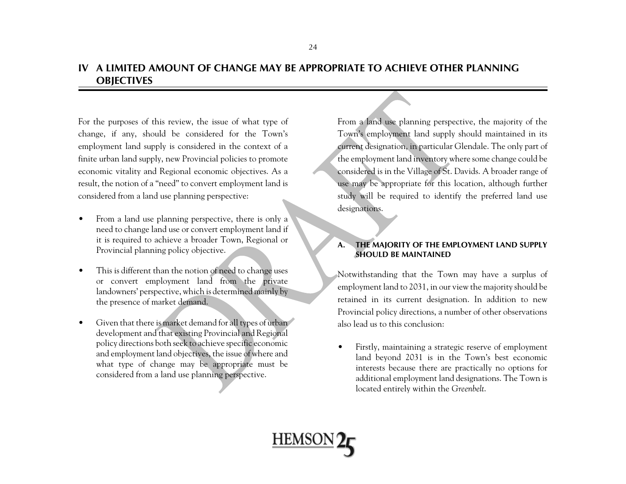### **IV A LIMITED AMOUNT OF CHANGE MAY BE APPROPRIATE TO ACHIEVE OTHER PLANNINGOBJECTIVES**

For the purposes of this review, the issue of what type of change, if any, should be considered for the Town's employment land supply is considered in the context of a finite urban land supply, new Provincial policies to promote economic vitality and Regional economic objectives. As a result, the notion of a "need" to convert employment land is considered from a land use planning perspective:

- $\bullet$  From a land use planning perspective, there is only a need to change land use or convert employment land if it is required to achieve a broader Town, Regional or Provincial planning policy objective.
- • This is different than the notion of need to change uses or convert employment land from the private landowners' perspective, which is determined mainly by the presence of market demand.
- • Given that there is market demand for all types of urban development and that existing Provincial and Regional policy directions both seek to achieve specific economic and employment land objectives, the issue of where and what type of change may be appropriate must be considered from a land use planning perspective.

From a land use planning perspective, the majority of the Town's employment land supply should maintained in its current designation, in particular Glendale. The only part of the employment land inventory where some change could be considered is in the Village of St. Davids. A broader range of use may be appropriate for this location, although further study will be required to identify the preferred land use designations.

### **A. THE MAJORITY OF THE EMPLOYMENT LAND SUPPLY SHOULD BE MAINTAINED**

Notwithstanding that the Town may have a surplus of employment land to 2031, in our view the majority should be retained in its current designation. In addition to new Provincial policy directions, a number of other observations also lead us to this conclusion:

• Firstly, maintaining a strategic reserve of employment land beyond 2031 is in the Town's best economic interests because there are practically no options for additional employment land designations. The Town is located entirely within the *Greenbelt*.

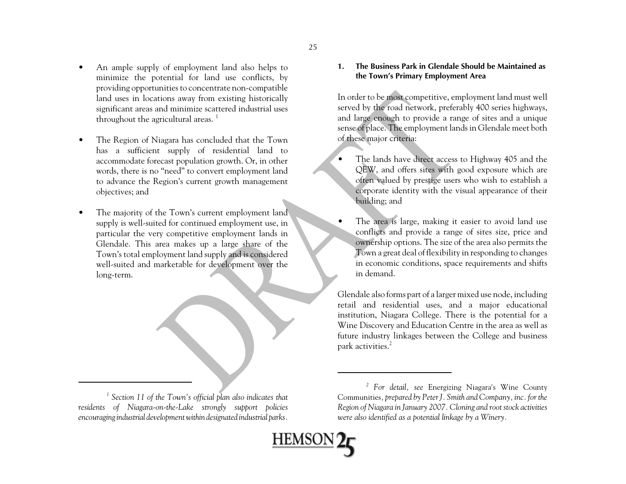- • An ample supply of employment land also helps to minimize the potential for land use conflicts, by providing opportunities to concentrate non-compatible land uses in locations away from existing historically significant areas and minimize scattered industrial uses throughout the agricultural areas.  $1$
- • The Region of Niagara has concluded that the Town has a sufficient supply of residential land to accommodate forecast population growth. Or, in other words, there is no "need" to convert employment land to advance the Region's current growth management objectives; and
- $\bullet$  The majority of the Town's current employment land supply is well-suited for continued employment use, in particular the very competitive employment lands in Glendale. This area makes up a large share of the Town's total employment land supply and is considered well-suited and marketable for development over the long-term.

*1 Section 11 of the Town's official plan also indicates that*

*residents of Niagara-on-the-Lake strongly support policies encouraging industrial development within designated industrial parks.*

### **1. The Business Park in Glendale Should be Maintained asthe Town's Primary Employment Area**

In order to be most competitive, employment land must well served by the road network, preferably 400 series highways, and large enough to provide a range of sites and a unique sense of place. The employment lands in Glendale meet both of these major criteria:

- The lands have direct access to Highway 405 and the QEW, and offers sites with good exposure which are often valued by prestige users who wish to establish a corporate identity with the visual appearance of their building; and
- • The area is large, making it easier to avoid land use conflicts and provide a range of sites size, price and ownership options. The size of the area also permits the Town a great deal of flexibility in responding to changes in economic conditions, space requirements and shifts in demand.

Glendale also forms part of a larger mixed use node, including retail and residential uses, and a major educational institution, Niagara College. There is the potential for a Wine Discovery and Education Centre in the area as well as future industry linkages between the College and business park activities.<sup>2</sup>

**HEMSOI** 

*<sup>2</sup> For detail, see* Energizing Niagara's Wine County Communities*, prepared by Peter J. Smith and Company, inc. for the Region of Niagara in January 2007. Cloning and root stock activities were also identified as a potential linkage by a Winery.*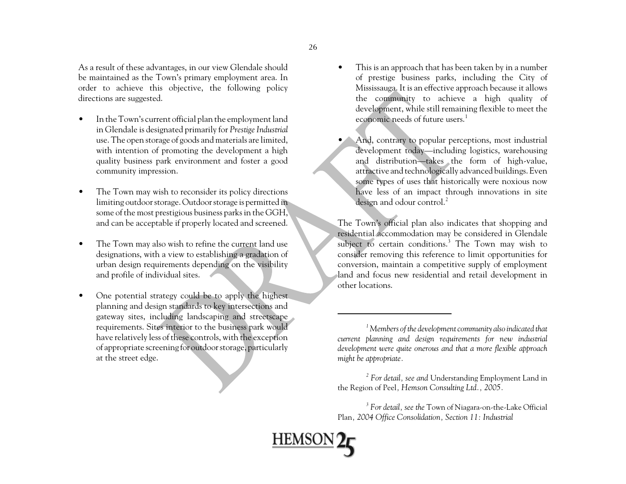As a result of these advantages, in our view Glendale should be maintained as the Town's primary employment area. In order to achieve this objective, the following policy directions are suggested.

- • In the Town's current official plan the employment land in Glendale is designated primarily for *Prestige Industrial* use. The open storage of goods and materials are limited, with intention of promoting the development a high quality business park environment and foster a good community impression.
- • The Town may wish to reconsider its policy directions limiting outdoor storage. Outdoor storage is permitted in some of the most prestigious business parks in the GGH, and can be acceptable if properly located and screened.
- • The Town may also wish to refine the current land use designations, with a view to establishing a gradation of urban design requirements depending on the visibility and profile of individual sites.
- • One potential strategy could be to apply the highest <sup>p</sup>lanning and design standards to key intersections and gateway sites, including landscaping and streetscape requirements. Sites interior to the business park would have relatively less of these controls, with the exception of appropriate screening for outdoor storage, particularly at the street edge.
- • This is an approach that has been taken by in a number of prestige business parks, including the City of Mississauga. It is an effective approach because it allows the community to achieve a high quality of development, while still remaining flexible to meet the economic needs of future users.<sup>1</sup>
- And, contrary to popular perceptions, most industrial development today—including logistics, warehousing and distribution—takes the form of high-value, attractive and technologically advanced buildings. Even some types of uses that historically were noxious now have less of an impact through innovations in site design and odour control.<sup>2</sup>

The Town's official plan also indicates that shopping and residential accommodation may be considered in Glendale subject to certain conditions.<sup>3</sup> The Town may wish to consider removing this reference to limit opportunities for conversion, maintain a competitive supply of employment land and focus new residential and retail development in other locations.

*1 Members of the development community also indicated that current planning and design requirements for new industrial development were quite onerous and that a more flexible approach might be appropriate.*

*2 For detail, see and* Understanding Employment Land in the Region of Peel*, Hemson Consulting Ltd., 2005.*

*3 For detail, see the* Town of Niagara-on-the-Lake Official Plan*, 2004 Office Consolidation, Section 11: Industrial*

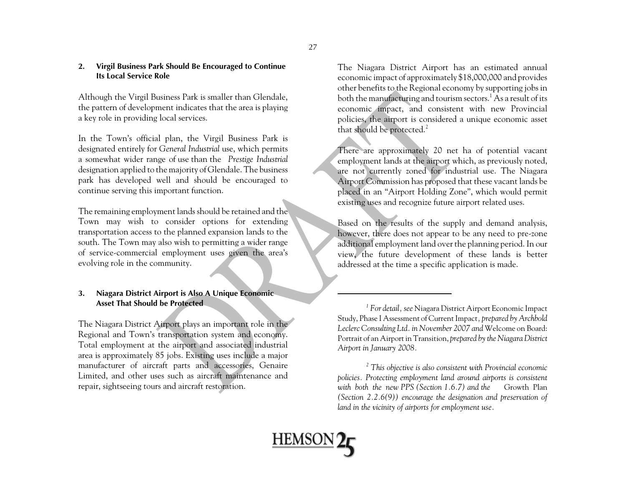### **2. Virgil Business Park Should Be Encouraged to Continue Its Local Service Role**

Although the Virgil Business Park is smaller than Glendale, the pattern of development indicates that the area is playing a key role in providing local services.

In the Town's official plan, the Virgil Business Park is designated entirely for *General Industrial* use, which permits a somewhat wider range of use than the *Prestige Industrial* designation applied to the majority of Glendale. The business park has developed well and should be encouraged to continue serving this important function.

The remaining employment lands should be retained and the Town may wish to consider options for extending transportation access to the planned expansion lands to the south. The Town may also wish to permitting a wider range of service-commercial employment uses given the area's evolving role in the community.

### **3. Niagara District Airport is Also A Unique Economic Asset That Should be Protected**

The Niagara District Airport plays an important role in the Regional and Town's transportation system and economy. Total employment at the airport and associated industrial area is approximately 85 jobs. Existing uses include a major manufacturer of aircraft parts and accessories, Genaire Limited, and other uses such as aircraft maintenance and repair, sightseeing tours and aircraft restoration.

The Niagara District Airport has an estimated annual economic impact of approximately \$18,000,000 and provides other benefits to the Regional economy by supporting jobs in both the manufacturing and tourism sectors.<sup>1</sup> As a result of its economic impact, and consistent with new Provincial policies, the airport is considered a unique economic asset that should be protected.<sup>2</sup>

There are approximately 20 net ha of potential vacant employment lands at the airport which, as previously noted, are not currently zoned for industrial use. The Niagara Airport Commission has proposed that these vacant lands be <sup>p</sup>laced in an "Airport Holding Zone", which would permit existing uses and recognize future airport related uses.

Based on the results of the supply and demand analysis, however, there does not appear to be any need to pre-zone additional employment land over the planning period. In our view, the future development of these lands is better addressed at the time a specific application is made.

*1 For detail, see* Niagara District Airport Economic Impact Study, Phase I Assessment of Current Impact*, prepared by Archbold Leclerc Consulting Ltd. in November 2007 and* Welcome on Board: Portrait of an Airport in Transition, *prepared by the Niagara District Airport in January 2008.* 

*2 This objective is also consistent with Provincial economic policies. Protecting employment land around airports is consistent* with both the new PPS (Section 1.6.7) and the Growth Plan *(Section 2.2.6(9)) encourage the designation and preservation of land in the vicinity of airports for employment use.*

**HEMSON** 

27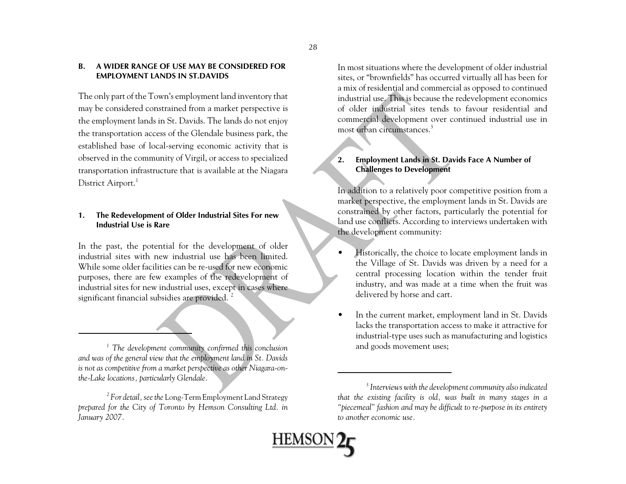### **B. A WIDER RANGE OF USE MAY BE CONSIDERED FOREMPLOYMENT LANDS IN ST.DAVIDS**

The only part of the Town's employment land inventory that may be considered constrained from a market perspective is the employment lands in St. Davids. The lands do not enjoy the transportation access of the Glendale business park, the established base of local-serving economic activity that is observed in the community of Virgil, or access to specialized transportation infrastructure that is available at the Niagara District Airport.<sup>1</sup>

### **1. The Redevelopment of Older Industrial Sites For new Industrial Use is Rare**

In the past, the potential for the development of older industrial sites with new industrial use has been limited.While some older facilities can be re-used for new economicpurposes, there are few examples of the redevelopment of industrial sites for new industrial uses, except in cases where significant financial subsidies are provided.<sup>2</sup>

<sup>1</sup> The development community confirmed this conclusion and goods movement uses; *and was of the general view that the employment land in St. Davids is not as competitive from a market perspective as other Niagara-onthe-Lake locations, particularly Glendale.* 

*2 For detail, see the* Long-Term Employment Land Strategy *prepared for the City of Toronto by Hemson Consulting Ltd. in January 2007.* 

In most situations where the development of older industrial sites, or "brownfields" has occurred virtually all has been for a mix of residential and commercial as opposed to continued industrial use. This is because the redevelopment economics of older industrial sites tends to favour residential andcommercial development over continued industrial use in most urban circumstances.<sup>3</sup>

### **2. Employment Lands in St. Davids Face A Number of Challenges to Development**

In addition to a relatively poor competitive position from a market perspective, the employment lands in St. Davids are constrained by other factors, particularly the potential for land use conflicts. According to interviews undertaken with the development community:

- • Historically, the choice to locate employment lands in the Village of St. Davids was driven by a need for a central processing location within the tender fruit industry, and was made at a time when the fruit was delivered by horse and cart.
- • In the current market, employment land in St. Davids lacks the transportation access to make it attractive for industrial-type uses such as manufacturing and logistics

<u>HEMSON</u>

*<sup>3</sup> Interviews with the development community also indicated that the existing facility is old, was built in many stages in a "piecemeal" fashion and may be difficult to re-purpose in its entirety to another economic use.*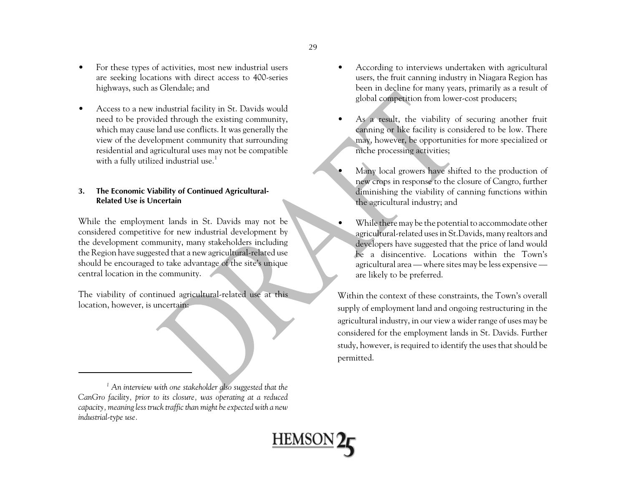- • For these types of activities, most new industrial users are seeking locations with direct access to 400-series highways, such as Glendale; and
- • Access to a new industrial facility in St. Davids would need to be provided through the existing community, which may cause land use conflicts. It was generally the view of the development community that surrounding residential and agricultural uses may not be compatible with a fully utilized industrial use.<sup>1</sup>

### **3. The Economic Viability of Continued Agricultural-Related Use is Uncertain**

While the employment lands in St. Davids may not be considered competitive for new industrial development by the development community, many stakeholders including the Region have suggested that a new agricultural-related use should be encouraged to take advantage of the site's unique central location in the community.

The viability of continued agricultural-related use at this location, however, is uncertain:

*1 An interview with one stakeholder also suggested that the CanGro facility, prior to its closure, was operating at a reduced capacity, meaning less truck traffic than might be expected with a new industrial-type use.*

- • According to interviews undertaken with agricultural users, the fruit canning industry in Niagara Region has been in decline for many years, primarily as a result of <sup>g</sup>lobal competition from lower-cost producers;
- • As a result, the viability of securing another fruit canning or like facility is considered to be low. There may, however, be opportunities for more specialized or niche processing activities;
- • Many local growers have shifted to the production of new crops in response to the closure of Cangro, further diminishing the viability of canning functions within the agricultural industry; and
- • While there may be the potential to accommodate other agricultural-related uses in St.Davids, many realtors and developers have suggested that the price of land would be a disincentive. Locations within the Town'sagricultural area — where sites may be less expensive are likely to be preferred.

Within the context of these constraints, the Town's overall supply of employment land and ongoing restructuring in the agricultural industry, in our view a wider range of uses may be considered for the employment lands in St. Davids. Further study, however, is required to identify the uses that should be permitted.

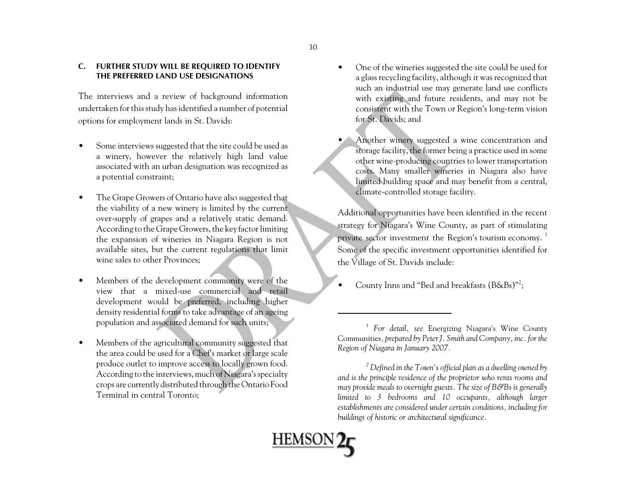### **C. FURTHER STUDY WILL BE REQUIRED TO IDENTIFY THE PREFERRED LAND USE DESIGNATIONS**

The interviews and a review of background information undertaken for this study has identified a number of potential options for employment lands in St. Davids:

- • Some interviews suggested that the site could be used as a winery, however the relatively high land value associated with an urban designation was recognized as a potential constraint;
- • The Grape Growers of Ontario have also suggested that the viability of a new winery is limited by the current over-supply of grapes and a relatively static demand. According to the Grape Growers, the key factor limiting the expansion of wineries in Niagara Region is not available sites, but the current regulations that limit wine sales to other Provinces;
- • Members of the development community were of the view that a mixed-use commercial and retail development would be preferred, including higher density residential forms to take advantage of an ageing population and associated demand for such units;
- • Members of the agricultural community suggested that the area could be used for a Chef's market or large scale produce outlet to improve access to locally grown food. According to the interviews, much of Niagara's specialty crops are currently distributed through the Ontario Food Terminal in central Toronto;

•

- • One of the wineries suggested the site could be used for a glass recycling facility, although it was recognized that such an industrial use may generate land use conflicts with existing and future residents, and may not be consistent with the Town or Region's long-term vision for St. Davids; and
- Another winery suggested a wine concentration and storage facility, the former being a practice used in some other wine-producing countries to lower transportation costs. Many smaller wineries in Niagara also have limited building space and may benefit from a central, climate-controlled storage facility.

Additional opportunities have been identified in the recent strategy for Niagara's Wine County, as part of stimulating private sector investment the Region's tourism economy.<sup>1</sup> Some of the specific investment opportunities identified for the Village of St. Davids include:

•County Inns and "Bed and breakfasts (B&Bs)"2;

*<sup>2</sup> Defined in the Town's official plan as a dwelling owned by and is the principle residence of the proprietor who rents rooms and may provide meals to overnight guests. The size of B&Bs is generally limited to 3 bedrooms and 10 occupants, although larger establishments are considered under certain conditions, including for buildings of historic or architectural significance.* 



*<sup>1</sup> For detail, see* Energizing Niagara's Wine County Communities*, prepared by Peter J. Smith and Company, inc. for the Region of Niagara in January 2007.*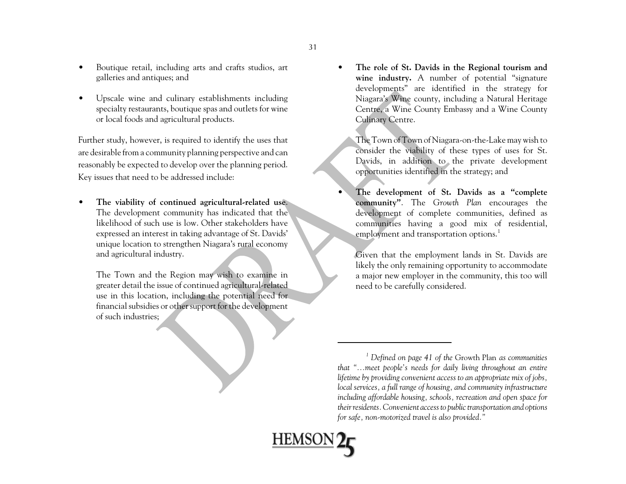- • Boutique retail, including arts and crafts studios, art galleries and antiques; and
- • Upscale wine and culinary establishments including specialty restaurants, boutique spas and outlets for wine or local foods and agricultural products.

Further study, however, is required to identify the uses that are desirable from a community planning perspective and can reasonably be expected to develop over the planning period. Key issues that need to be addressed include:

• **The viability of continued agricultural-related use**. The development community has indicated that the likelihood of such use is low. Other stakeholders have expressed an interest in taking advantage of St. Davids' unique location to strengthen Niagara's rural economy and agricultural industry.

The Town and the Region may wish to examine in greater detail the issue of continued agricultural-related use in this location, including the potential need for financial subsidies or other support for the development of such industries;

• **The role of St. Davids in the Regional tourism and wine industry.** A number of potential "signature developments" are identified in the strategy for Niagara's Wine county, including a Natural Heritage Centre, a Wine County Embassy and a Wine County Culinary Centre.

The Town of Town of Niagara-on-the-Lake may wish to consider the viability of these types of uses for St. Davids, in addition to the private development opportunities identified in the strategy; and

 **The development of St. Davids as a "complete community"**. The *Growth Plan* encourages the development of complete communities, defined as communities having a good mix of residential, employment and transportation options.<sup>1</sup>

Given that the employment lands in St. Davids are likely the only remaining opportunity to accommodate a major new employer in the community, this too will need to be carefully considered.

•

**HEMSC** 

*<sup>1</sup> Defined on page 41 of the* Growth Plan *as communities that "...meet people's needs for daily living throughout an entire lifetime by providing convenient access to an appropriate mix of jobs, local services, a full range of housing, and community infrastructure including affordable housing, schools, recreation and open space for their residents. Convenient access to public transportation and options for safe, non-motorized travel is also provided."*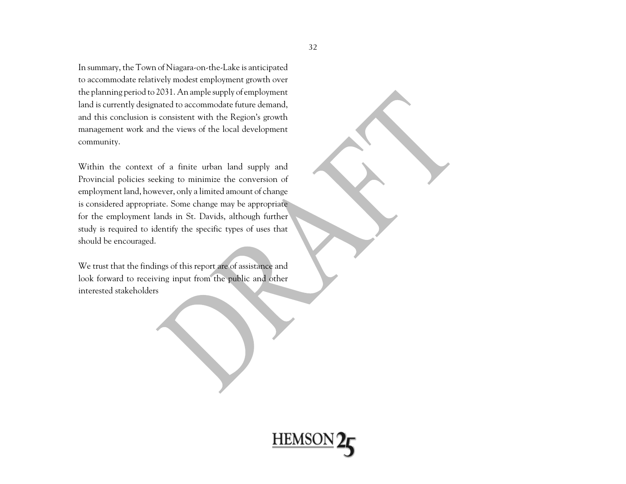In summary, the Town of Niagara-on-the-Lake is anticipated to accommodate relatively modest employment growth over the planning period to 2031. An ample supply of employment land is currently designated to accommodate future demand, and this conclusion is consistent with the Region's growth management work and the views of the local development community.

Within the context of a finite urban land supply and Provincial policies seeking to minimize the conversion of employment land, however, only a limited amount of change is considered appropriate. Some change may be appropriate for the employment lands in St. Davids, although further study is required to identify the specific types of uses that should be encouraged.

We trust that the findings of this report are of assistance and look forward to receiving input from the public and other interested stakeholders

**HEMSON**